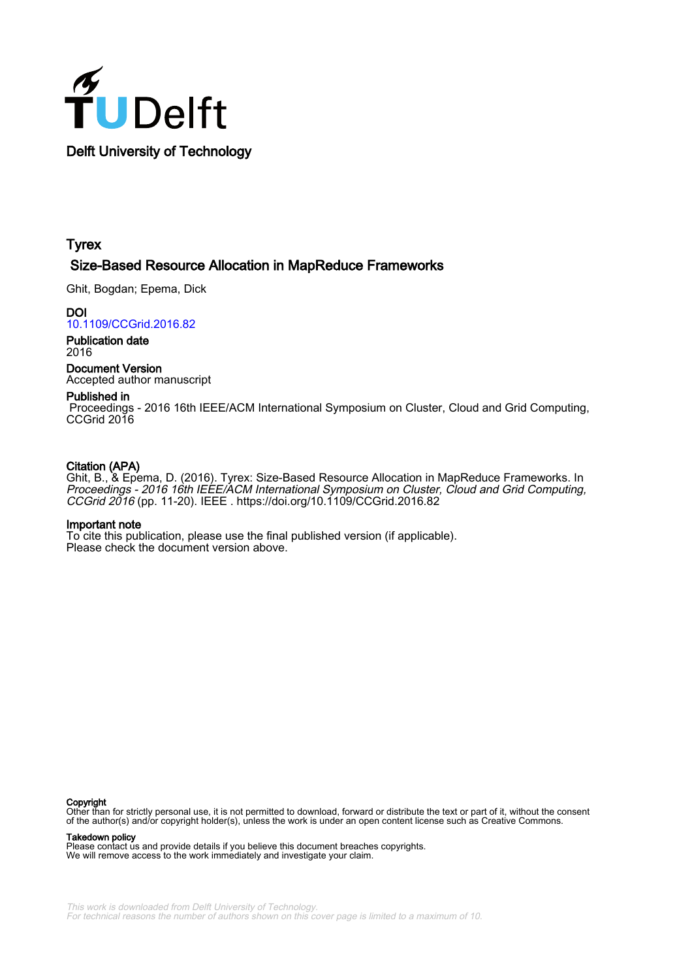

# **Tyrex**

# Size-Based Resource Allocation in MapReduce Frameworks

Ghit, Bogdan; Epema, Dick

**DOI** [10.1109/CCGrid.2016.82](https://doi.org/10.1109/CCGrid.2016.82)

Publication date 2016

Document Version Accepted author manuscript

# Published in

 Proceedings - 2016 16th IEEE/ACM International Symposium on Cluster, Cloud and Grid Computing, CCGrid 2016

# Citation (APA)

Ghit, B., & Epema, D. (2016). Tyrex: Size-Based Resource Allocation in MapReduce Frameworks. In Proceedings - 2016 16th IEEE/ACM International Symposium on Cluster, Cloud and Grid Computing, CCGrid 2016 (pp. 11-20). IEEE . <https://doi.org/10.1109/CCGrid.2016.82>

# Important note

To cite this publication, please use the final published version (if applicable). Please check the document version above.

# Copyright

Other than for strictly personal use, it is not permitted to download, forward or distribute the text or part of it, without the consent of the author(s) and/or copyright holder(s), unless the work is under an open content license such as Creative Commons.

Takedown policy

Please contact us and provide details if you believe this document breaches copyrights. We will remove access to the work immediately and investigate your claim.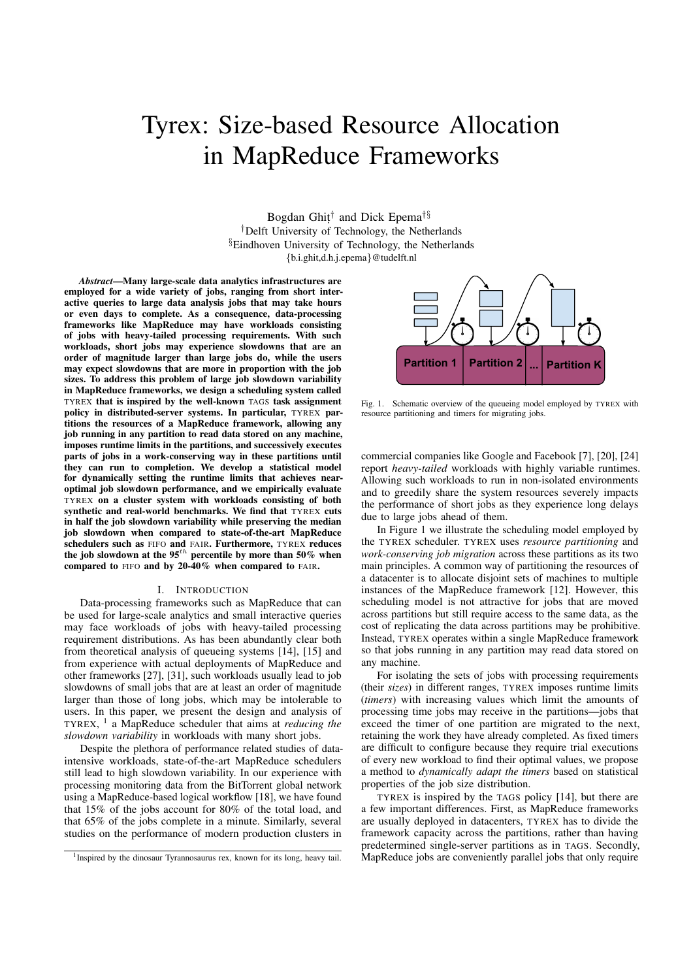# Tyrex: Size-based Resource Allocation in MapReduce Frameworks

Bogdan Ghit, *†* and Dick Epema*†§ †*Delft University of Technology, the Netherlands *§*Eindhoven University of Technology, the Netherlands *{*b.i.ghit,d.h.j.epema*}*@tudelft.nl

*Abstract*—Many large-scale data analytics infrastructures are employed for a wide variety of jobs, ranging from short interactive queries to large data analysis jobs that may take hours or even days to complete. As a consequence, data-processing frameworks like MapReduce may have workloads consisting of jobs with heavy-tailed processing requirements. With such workloads, short jobs may experience slowdowns that are an order of magnitude larger than large jobs do, while the users may expect slowdowns that are more in proportion with the job sizes. To address this problem of large job slowdown variability in MapReduce frameworks, we design a scheduling system called TYREX that is inspired by the well-known TAGS task assignment policy in distributed-server systems. In particular, TYREX partitions the resources of a MapReduce framework, allowing any job running in any partition to read data stored on any machine, imposes runtime limits in the partitions, and successively executes parts of jobs in a work-conserving way in these partitions until they can run to completion. We develop a statistical model for dynamically setting the runtime limits that achieves nearoptimal job slowdown performance, and we empirically evaluate TYREX on a cluster system with workloads consisting of both synthetic and real-world benchmarks. We find that TYREX cuts in half the job slowdown variability while preserving the median job slowdown when compared to state-of-the-art MapReduce schedulers such as FIFO and FAIR. Furthermore, TYREX reduces the job slowdown at the 95*th* percentile by more than 50% when compared to FIFO and by 20-40% when compared to FAIR.

#### I. INTRODUCTION

Data-processing frameworks such as MapReduce that can be used for large-scale analytics and small interactive queries may face workloads of jobs with heavy-tailed processing requirement distributions. As has been abundantly clear both from theoretical analysis of queueing systems [14], [15] and from experience with actual deployments of MapReduce and other frameworks [27], [31], such workloads usually lead to job slowdowns of small jobs that are at least an order of magnitude larger than those of long jobs, which may be intolerable to users. In this paper, we present the design and analysis of TYREX, <sup>1</sup> a MapReduce scheduler that aims at *reducing the slowdown variability* in workloads with many short jobs.

Despite the plethora of performance related studies of dataintensive workloads, state-of-the-art MapReduce schedulers still lead to high slowdown variability. In our experience with processing monitoring data from the BitTorrent global network using a MapReduce-based logical workflow [18], we have found that 15% of the jobs account for 80% of the total load, and that 65% of the jobs complete in a minute. Similarly, several studies on the performance of modern production clusters in



Fig. 1. Schematic overview of the queueing model employed by TYREX with resource partitioning and timers for migrating jobs.

commercial companies like Google and Facebook [7], [20], [24] report *heavy-tailed* workloads with highly variable runtimes. Allowing such workloads to run in non-isolated environments and to greedily share the system resources severely impacts the performance of short jobs as they experience long delays due to large jobs ahead of them.

In Figure 1 we illustrate the scheduling model employed by the TYREX scheduler. TYREX uses *resource partitioning* and *work-conserving job migration* across these partitions as its two main principles. A common way of partitioning the resources of a datacenter is to allocate disjoint sets of machines to multiple instances of the MapReduce framework [12]. However, this scheduling model is not attractive for jobs that are moved across partitions but still require access to the same data, as the cost of replicating the data across partitions may be prohibitive. Instead, TYREX operates within a single MapReduce framework so that jobs running in any partition may read data stored on any machine.

For isolating the sets of jobs with processing requirements (their *sizes*) in different ranges, TYREX imposes runtime limits (*timers*) with increasing values which limit the amounts of processing time jobs may receive in the partitions—jobs that exceed the timer of one partition are migrated to the next, retaining the work they have already completed. As fixed timers are difficult to configure because they require trial executions of every new workload to find their optimal values, we propose a method to *dynamically adapt the timers* based on statistical properties of the job size distribution.

TYREX is inspired by the TAGS policy [14], but there are a few important differences. First, as MapReduce frameworks are usually deployed in datacenters, TYREX has to divide the framework capacity across the partitions, rather than having predetermined single-server partitions as in TAGS. Secondly, MapReduce jobs are conveniently parallel jobs that only require

<sup>&</sup>lt;sup>1</sup>Inspired by the dinosaur Tyrannosaurus rex, known for its long, heavy tail.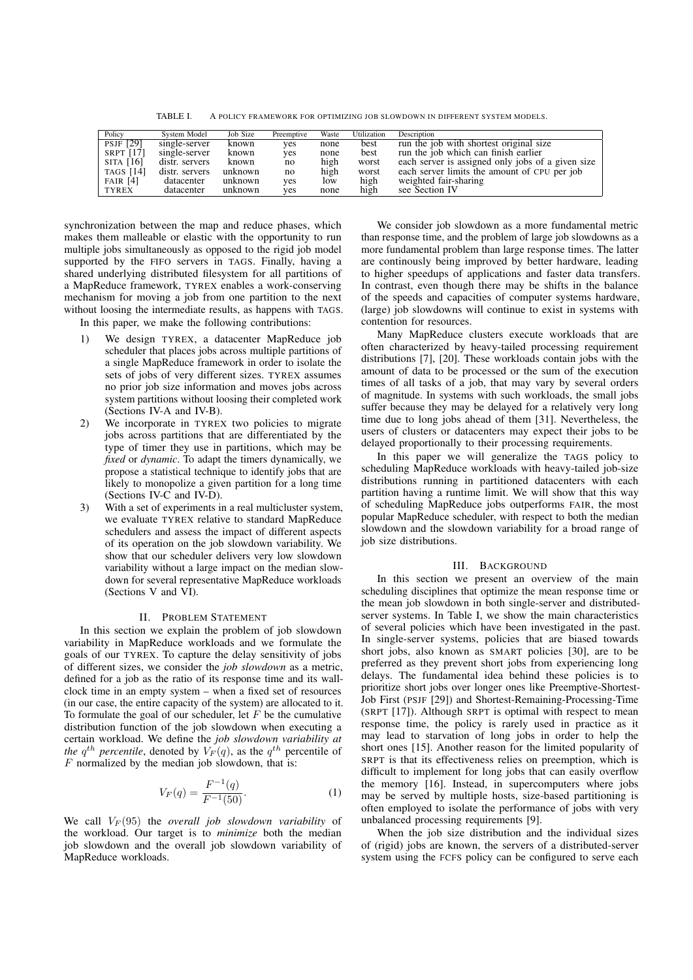TABLE I. A POLICY FRAMEWORK FOR OPTIMIZING JOB SLOWDOWN IN DIFFERENT SYSTEM MODELS.

| Policy      | System Model   | Job Size | Preemptive | Waste | Utilization | Description                                       |
|-------------|----------------|----------|------------|-------|-------------|---------------------------------------------------|
| PSJF [29]   | single-server  | known    | yes        | none  | best        | run the job with shortest original size           |
| SRPT [17]   | single-server  | known    | yes        | none  | best        | run the job which can finish earlier              |
| $SITA$ [16] | distr. servers | known    | no         | high  | worst       | each server is assigned only jobs of a given size |
| TAGS [14]   | distr. servers | unknown  | no         | high  | worst       | each server limits the amount of CPU per job      |
| FAIR $[4]$  | datacenter     | unknown  | yes        | low   | high        | weighted fair-sharing                             |
| TYREX       | datacenter     | unknown  | yes        | none  | high        | see Section IV                                    |

synchronization between the map and reduce phases, which makes them malleable or elastic with the opportunity to run multiple jobs simultaneously as opposed to the rigid job model supported by the FIFO servers in TAGS. Finally, having a shared underlying distributed filesystem for all partitions of a MapReduce framework, TYREX enables a work-conserving mechanism for moving a job from one partition to the next without loosing the intermediate results, as happens with TAGS.

In this paper, we make the following contributions:

- 1) We design TYREX, a datacenter MapReduce job scheduler that places jobs across multiple partitions of a single MapReduce framework in order to isolate the sets of jobs of very different sizes. TYREX assumes no prior job size information and moves jobs across system partitions without loosing their completed work (Sections IV-A and IV-B).
- 2) We incorporate in TYREX two policies to migrate jobs across partitions that are differentiated by the type of timer they use in partitions, which may be *fixed* or *dynamic*. To adapt the timers dynamically, we propose a statistical technique to identify jobs that are likely to monopolize a given partition for a long time (Sections IV-C and IV-D).
- 3) With a set of experiments in a real multicluster system, we evaluate TYREX relative to standard MapReduce schedulers and assess the impact of different aspects of its operation on the job slowdown variability. We show that our scheduler delivers very low slowdown variability without a large impact on the median slowdown for several representative MapReduce workloads (Sections V and VI).

# II. PROBLEM STATEMENT

In this section we explain the problem of job slowdown variability in MapReduce workloads and we formulate the goals of our TYREX. To capture the delay sensitivity of jobs of different sizes, we consider the *job slowdown* as a metric, defined for a job as the ratio of its response time and its wallclock time in an empty system – when a fixed set of resources (in our case, the entire capacity of the system) are allocated to it. To formulate the goal of our scheduler, let *F* be the cumulative distribution function of the job slowdown when executing a certain workload. We define the *job slowdown variability at the*  $q^{th}$  *percentile*, denoted by  $V_F(q)$ , as the  $q^{th}$  percentile of *F* normalized by the median job slowdown, that is:

$$
V_F(q) = \frac{F^{-1}(q)}{F^{-1}(50)}.\t(1)
$$

We call  $V_F(95)$  the *overall job slowdown variability* of the workload. Our target is to *minimize* both the median job slowdown and the overall job slowdown variability of MapReduce workloads.

We consider job slowdown as a more fundamental metric than response time, and the problem of large job slowdowns as a more fundamental problem than large response times. The latter are continously being improved by better hardware, leading to higher speedups of applications and faster data transfers. In contrast, even though there may be shifts in the balance of the speeds and capacities of computer systems hardware, (large) job slowdowns will continue to exist in systems with contention for resources.

Many MapReduce clusters execute workloads that are often characterized by heavy-tailed processing requirement distributions [7], [20]. These workloads contain jobs with the amount of data to be processed or the sum of the execution times of all tasks of a job, that may vary by several orders of magnitude. In systems with such workloads, the small jobs suffer because they may be delayed for a relatively very long time due to long jobs ahead of them [31]. Nevertheless, the users of clusters or datacenters may expect their jobs to be delayed proportionally to their processing requirements.

In this paper we will generalize the TAGS policy to scheduling MapReduce workloads with heavy-tailed job-size distributions running in partitioned datacenters with each partition having a runtime limit. We will show that this way of scheduling MapReduce jobs outperforms FAIR, the most popular MapReduce scheduler, with respect to both the median slowdown and the slowdown variability for a broad range of job size distributions.

# III. BACKGROUND

In this section we present an overview of the main scheduling disciplines that optimize the mean response time or the mean job slowdown in both single-server and distributedserver systems. In Table I, we show the main characteristics of several policies which have been investigated in the past. In single-server systems, policies that are biased towards short jobs, also known as SMART policies [30], are to be preferred as they prevent short jobs from experiencing long delays. The fundamental idea behind these policies is to prioritize short jobs over longer ones like Preemptive-Shortest-Job First (PSJF [29]) and Shortest-Remaining-Processing-Time (SRPT [17]). Although SRPT is optimal with respect to mean response time, the policy is rarely used in practice as it may lead to starvation of long jobs in order to help the short ones [15]. Another reason for the limited popularity of SRPT is that its effectiveness relies on preemption, which is difficult to implement for long jobs that can easily overflow the memory [16]. Instead, in supercomputers where jobs may be served by multiple hosts, size-based partitioning is often employed to isolate the performance of jobs with very unbalanced processing requirements [9].

When the job size distribution and the individual sizes of (rigid) jobs are known, the servers of a distributed-server system using the FCFS policy can be configured to serve each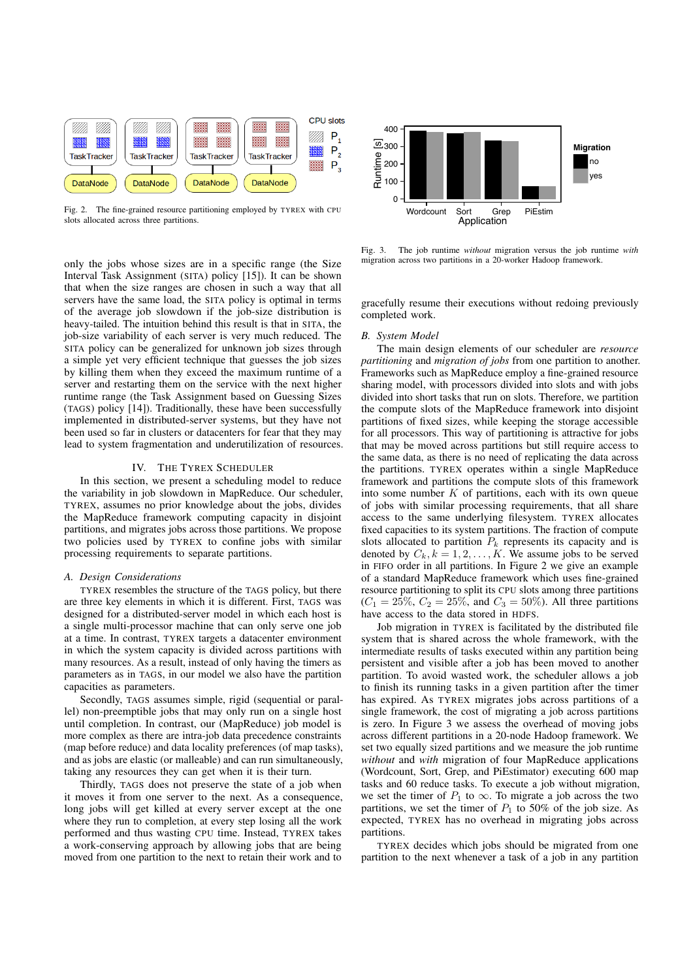

Fig. 2. The fine-grained resource partitioning employed by TYREX with CPU slots allocated across three partitions.

0 100 200  $\overline{\mathcal{L}}_{300}$ 400 Wordcount Sort Grep PiEstim Application Runtime [s] **Migration** no yes

Fig. 3. The job runtime *without* migration versus the job runtime *with* migration across two partitions in a 20-worker Hadoop framework.

only the jobs whose sizes are in a specific range (the Size Interval Task Assignment (SITA) policy [15]). It can be shown that when the size ranges are chosen in such a way that all servers have the same load, the SITA policy is optimal in terms of the average job slowdown if the job-size distribution is heavy-tailed. The intuition behind this result is that in SITA, the job-size variability of each server is very much reduced. The SITA policy can be generalized for unknown job sizes through a simple yet very efficient technique that guesses the job sizes by killing them when they exceed the maximum runtime of a server and restarting them on the service with the next higher runtime range (the Task Assignment based on Guessing Sizes (TAGS) policy [14]). Traditionally, these have been successfully implemented in distributed-server systems, but they have not been used so far in clusters or datacenters for fear that they may lead to system fragmentation and underutilization of resources.

# IV. THE TYREX SCHEDULER

In this section, we present a scheduling model to reduce the variability in job slowdown in MapReduce. Our scheduler, TYREX, assumes no prior knowledge about the jobs, divides the MapReduce framework computing capacity in disjoint partitions, and migrates jobs across those partitions. We propose two policies used by TYREX to confine jobs with similar processing requirements to separate partitions.

# *A. Design Considerations*

TYREX resembles the structure of the TAGS policy, but there are three key elements in which it is different. First, TAGS was designed for a distributed-server model in which each host is a single multi-processor machine that can only serve one job at a time. In contrast, TYREX targets a datacenter environment in which the system capacity is divided across partitions with many resources. As a result, instead of only having the timers as parameters as in TAGS, in our model we also have the partition capacities as parameters.

Secondly, TAGS assumes simple, rigid (sequential or parallel) non-preemptible jobs that may only run on a single host until completion. In contrast, our (MapReduce) job model is more complex as there are intra-job data precedence constraints (map before reduce) and data locality preferences (of map tasks), and as jobs are elastic (or malleable) and can run simultaneously, taking any resources they can get when it is their turn.

Thirdly, TAGS does not preserve the state of a job when it moves it from one server to the next. As a consequence, long jobs will get killed at every server except at the one where they run to completion, at every step losing all the work performed and thus wasting CPU time. Instead, TYREX takes a work-conserving approach by allowing jobs that are being moved from one partition to the next to retain their work and to gracefully resume their executions without redoing previously completed work.

# *B. System Model*

The main design elements of our scheduler are *resource partitioning* and *migration of jobs* from one partition to another. Frameworks such as MapReduce employ a fine-grained resource sharing model, with processors divided into slots and with jobs divided into short tasks that run on slots. Therefore, we partition the compute slots of the MapReduce framework into disjoint partitions of fixed sizes, while keeping the storage accessible for all processors. This way of partitioning is attractive for jobs that may be moved across partitions but still require access to the same data, as there is no need of replicating the data across the partitions. TYREX operates within a single MapReduce framework and partitions the compute slots of this framework into some number *K* of partitions, each with its own queue of jobs with similar processing requirements, that all share access to the same underlying filesystem. TYREX allocates fixed capacities to its system partitions. The fraction of compute slots allocated to partition  $P_k$  represents its capacity and is denoted by  $C_k$ ,  $k = 1, 2, \ldots, K$ . We assume jobs to be served in FIFO order in all partitions. In Figure 2 we give an example of a standard MapReduce framework which uses fine-grained resource partitioning to split its CPU slots among three partitions  $(C_1 = 25\%, C_2 = 25\%, \text{ and } C_3 = 50\%$ . All three partitions have access to the data stored in HDFS.

Job migration in TYREX is facilitated by the distributed file system that is shared across the whole framework, with the intermediate results of tasks executed within any partition being persistent and visible after a job has been moved to another partition. To avoid wasted work, the scheduler allows a job to finish its running tasks in a given partition after the timer has expired. As TYREX migrates jobs across partitions of a single framework, the cost of migrating a job across partitions is zero. In Figure 3 we assess the overhead of moving jobs across different partitions in a 20-node Hadoop framework. We set two equally sized partitions and we measure the job runtime *without* and *with* migration of four MapReduce applications (Wordcount, Sort, Grep, and PiEstimator) executing 600 map tasks and 60 reduce tasks. To execute a job without migration, we set the timer of  $P_1$  to  $\infty$ . To migrate a job across the two partitions, we set the timer of  $P_1$  to 50% of the job size. As expected, TYREX has no overhead in migrating jobs across partitions.

TYREX decides which jobs should be migrated from one partition to the next whenever a task of a job in any partition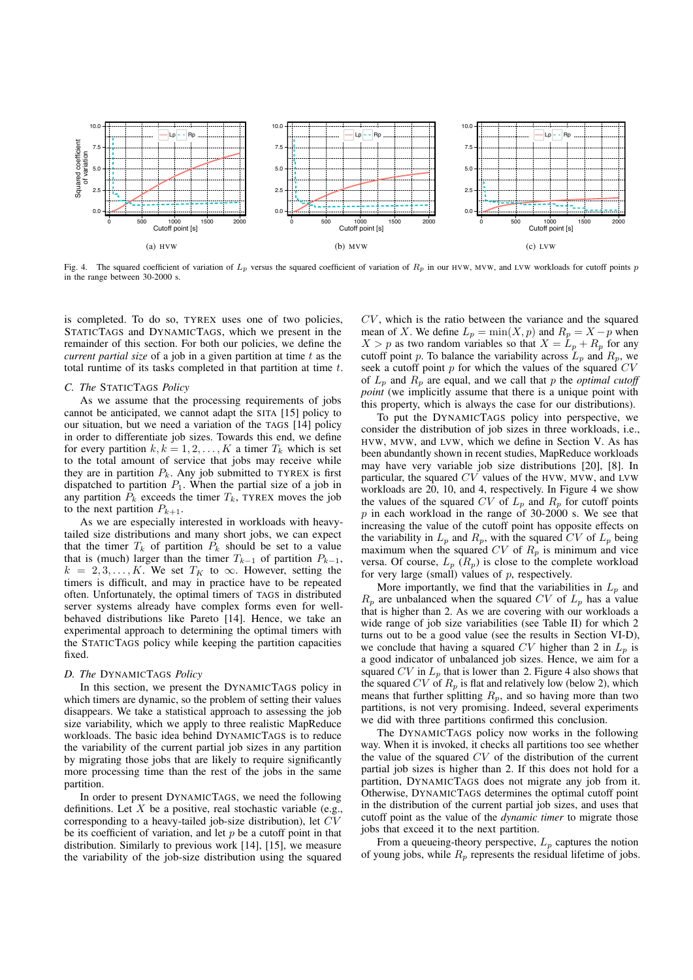

Fig. 4. The squared coefficient of variation of  $L_p$  versus the squared coefficient of variation of  $R_p$  in our HVW, MVW, and LVW workloads for cutoff points  $p$ in the range between 30-2000 s.

is completed. To do so, TYREX uses one of two policies, STATICTAGS and DYNAMICTAGS, which we present in the remainder of this section. For both our policies, we define the *current partial size* of a job in a given partition at time *t* as the total runtime of its tasks completed in that partition at time *t*.

#### *C. The* STATICTAGS *Policy*

As we assume that the processing requirements of jobs cannot be anticipated, we cannot adapt the SITA [15] policy to our situation, but we need a variation of the TAGS [14] policy in order to differentiate job sizes. Towards this end, we define for every partition  $k, k = 1, 2, \ldots, K$  a timer  $T_k$  which is set to the total amount of service that jobs may receive while they are in partition  $P_k$ . Any job submitted to TYREX is first dispatched to partition  $P_1$ . When the partial size of a job in any partition  $\bar{P}_k$  exceeds the timer  $T_k$ , TYREX moves the job to the next partition  $P_{k+1}$ .

As we are especially interested in workloads with heavytailed size distributions and many short jobs, we can expect that the timer  $T_k$  of partition  $P_k$  should be set to a value that is (much) larger than the timer  $T_{k-1}$  of partition  $P_{k-1}$ ,  $k = 2, 3, \ldots, K$ . We set  $T_K$  to  $\infty$ . However, setting the timers is difficult, and may in practice have to be repeated often. Unfortunately, the optimal timers of TAGS in distributed server systems already have complex forms even for wellbehaved distributions like Pareto [14]. Hence, we take an experimental approach to determining the optimal timers with the STATICTAGS policy while keeping the partition capacities fixed.

### *D. The* DYNAMICTAGS *Policy*

In this section, we present the DYNAMICTAGS policy in which timers are dynamic, so the problem of setting their values disappears. We take a statistical approach to assessing the job size variability, which we apply to three realistic MapReduce workloads. The basic idea behind DYNAMICTAGS is to reduce the variability of the current partial job sizes in any partition by migrating those jobs that are likely to require significantly more processing time than the rest of the jobs in the same partition.

In order to present DYNAMICTAGS, we need the following definitions. Let  $X$  be a positive, real stochastic variable (e.g., corresponding to a heavy-tailed job-size distribution), let *CV* be its coefficient of variation, and let *p* be a cutoff point in that distribution. Similarly to previous work [14], [15], we measure the variability of the job-size distribution using the squared *CV* , which is the ratio between the variance and the squared mean of *X*. We define  $L_p = \min(X, p)$  and  $R_p = X - p$  when  $X > p$  as two random variables so that  $X = L_p + R_p$  for any cutoff point *p*. To balance the variability across  $L_p$  and  $R_p$ , we seek a cutoff point *p* for which the values of the squared *CV* of  $L_p$  and  $R_p$  are equal, and we call that p the *optimal cutoff point* (we implicitly assume that there is a unique point with this property, which is always the case for our distributions).

To put the DYNAMICTAGS policy into perspective, we consider the distribution of job sizes in three workloads, i.e., HVW, MVW, and LVW, which we define in Section V. As has been abundantly shown in recent studies, MapReduce workloads may have very variable job size distributions [20], [8]. In particular, the squared *CV* values of the HVW, MVW, and LVW workloads are  $20$ , 10, and 4, respectively. In Figure 4 we show the values of the squared *CV* of  $L_p$  and  $R_p$  for cutoff points *p* in each workload in the range of 30-2000 s. We see that increasing the value of the cutoff point has opposite effects on the variability in  $L_p$  and  $R_p$ , with the squared CV of  $L_p$  being maximum when the squared  $CV$  of  $R_p$  is minimum and vice versa. Of course,  $L_p$  ( $R_p$ ) is close to the complete workload for very large (small) values of *p*, respectively.

More importantly, we find that the variabilities in  $L_p$  and  $R_p$  are unbalanced when the squared *CV* of  $L_p$  has a value that is higher than 2. As we are covering with our workloads a wide range of job size variabilities (see Table II) for which 2 turns out to be a good value (see the results in Section VI-D), we conclude that having a squared  $CV$  higher than 2 in  $L_p$  is a good indicator of unbalanced job sizes. Hence, we aim for a squared  $CV$  in  $L_p$  that is lower than 2. Figure 4 also shows that the squared *CV* of  $R_p$  is flat and relatively low (below 2), which means that further splitting *Rp*, and so having more than two partitions, is not very promising. Indeed, several experiments we did with three partitions confirmed this conclusion.

The DYNAMICTAGS policy now works in the following way. When it is invoked, it checks all partitions too see whether the value of the squared *CV* of the distribution of the current partial job sizes is higher than 2. If this does not hold for a partition, DYNAMICTAGS does not migrate any job from it. Otherwise, DYNAMICTAGS determines the optimal cutoff point in the distribution of the current partial job sizes, and uses that cutoff point as the value of the *dynamic timer* to migrate those jobs that exceed it to the next partition.

From a queueing-theory perspective,  $L_p$  captures the notion of young jobs, while *R<sup>p</sup>* represents the residual lifetime of jobs.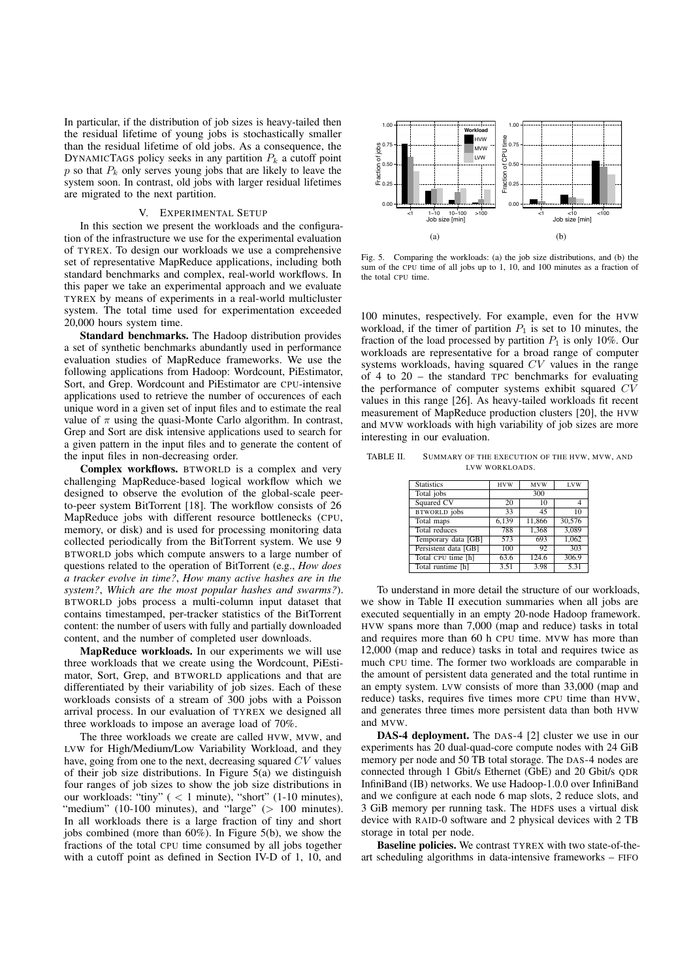In particular, if the distribution of job sizes is heavy-tailed then the residual lifetime of young jobs is stochastically smaller than the residual lifetime of old jobs. As a consequence, the DYNAMICTAGS policy seeks in any partition  $P_k$  a cutoff point  $p$  so that  $P_k$  only serves young jobs that are likely to leave the system soon. In contrast, old jobs with larger residual lifetimes are migrated to the next partition.

# V. EXPERIMENTAL SETUP

In this section we present the workloads and the configuration of the infrastructure we use for the experimental evaluation of TYREX. To design our workloads we use a comprehensive set of representative MapReduce applications, including both standard benchmarks and complex, real-world workflows. In this paper we take an experimental approach and we evaluate TYREX by means of experiments in a real-world multicluster system. The total time used for experimentation exceeded 20,000 hours system time.

Standard benchmarks. The Hadoop distribution provides a set of synthetic benchmarks abundantly used in performance evaluation studies of MapReduce frameworks. We use the following applications from Hadoop: Wordcount, PiEstimator, Sort, and Grep. Wordcount and PiEstimator are CPU-intensive applications used to retrieve the number of occurences of each unique word in a given set of input files and to estimate the real value of  $\pi$  using the quasi-Monte Carlo algorithm. In contrast, Grep and Sort are disk intensive applications used to search for a given pattern in the input files and to generate the content of the input files in non-decreasing order.

Complex workflows. BTWORLD is a complex and very challenging MapReduce-based logical workflow which we designed to observe the evolution of the global-scale peerto-peer system BitTorrent [18]. The workflow consists of 26 MapReduce jobs with different resource bottlenecks (CPU, memory, or disk) and is used for processing monitoring data collected periodically from the BitTorrent system. We use 9 BTWORLD jobs which compute answers to a large number of questions related to the operation of BitTorrent (e.g., *How does a tracker evolve in time?*, *How many active hashes are in the system?*, *Which are the most popular hashes and swarms?*). BTWORLD jobs process a multi-column input dataset that contains timestamped, per-tracker statistics of the BitTorrent content: the number of users with fully and partially downloaded content, and the number of completed user downloads.

MapReduce workloads. In our experiments we will use three workloads that we create using the Wordcount, PiEstimator, Sort, Grep, and BTWORLD applications and that are differentiated by their variability of job sizes. Each of these workloads consists of a stream of 300 jobs with a Poisson arrival process. In our evaluation of TYREX we designed all three workloads to impose an average load of 70%.

The three workloads we create are called HVW, MVW, and LVW for High/Medium/Low Variability Workload, and they have, going from one to the next, decreasing squared *CV* values of their job size distributions. In Figure 5(a) we distinguish four ranges of job sizes to show the job size distributions in our workloads: "tiny" ( *<* 1 minute), "short" (1-10 minutes), "medium" (10-100 minutes), and "large" ( $> 100$  minutes). In all workloads there is a large fraction of tiny and short jobs combined (more than 60%). In Figure 5(b), we show the fractions of the total CPU time consumed by all jobs together with a cutoff point as defined in Section IV-D of 1, 10, and



Fig. 5. Comparing the workloads: (a) the job size distributions, and (b) the sum of the CPU time of all jobs up to 1, 10, and 100 minutes as a fraction of the total CPU time.

100 minutes, respectively. For example, even for the HVW workload, if the timer of partition  $P_1$  is set to 10 minutes, the fraction of the load processed by partition  $P_1$  is only 10%. Our workloads are representative for a broad range of computer systems workloads, having squared *CV* values in the range of 4 to 20 – the standard TPC benchmarks for evaluating the performance of computer systems exhibit squared *CV* values in this range [26]. As heavy-tailed workloads fit recent measurement of MapReduce production clusters [20], the HVW and MVW workloads with high variability of job sizes are more interesting in our evaluation.

TABLE II. SUMMARY OF THE EXECUTION OF THE HVW, MVW, AND LVW WORKLOADS.

| <b>MVW</b> | <b>LVW</b>                                                                    |  |  |
|------------|-------------------------------------------------------------------------------|--|--|
| 300        |                                                                               |  |  |
| 10         | 4                                                                             |  |  |
| 45         | 10                                                                            |  |  |
| 11,866     | 30,576                                                                        |  |  |
|            | 3.089                                                                         |  |  |
| 693        | 1.062                                                                         |  |  |
| 92         | 303                                                                           |  |  |
| 124.6      | 306.9                                                                         |  |  |
| 3.98       | 5.31                                                                          |  |  |
|            | <b>HVW</b><br>20<br>33<br>6,139<br>1,368<br>788<br>573<br>100<br>63.6<br>3.51 |  |  |

To understand in more detail the structure of our workloads, we show in Table II execution summaries when all jobs are executed sequentially in an empty 20-node Hadoop framework. HVW spans more than 7,000 (map and reduce) tasks in total and requires more than 60 h CPU time. MVW has more than 12,000 (map and reduce) tasks in total and requires twice as much CPU time. The former two workloads are comparable in the amount of persistent data generated and the total runtime in an empty system. LVW consists of more than 33,000 (map and reduce) tasks, requires five times more CPU time than HVW, and generates three times more persistent data than both HVW and MVW.

DAS-4 deployment. The DAS-4 [2] cluster we use in our experiments has 20 dual-quad-core compute nodes with 24 GiB memory per node and 50 TB total storage. The DAS-4 nodes are connected through 1 Gbit/s Ethernet (GbE) and 20 Gbit/s QDR InfiniBand (IB) networks. We use Hadoop-1.0.0 over InfiniBand and we configure at each node 6 map slots, 2 reduce slots, and 3 GiB memory per running task. The HDFS uses a virtual disk device with RAID-0 software and 2 physical devices with 2 TB storage in total per node.

Baseline policies. We contrast TYREX with two state-of-theart scheduling algorithms in data-intensive frameworks – FIFO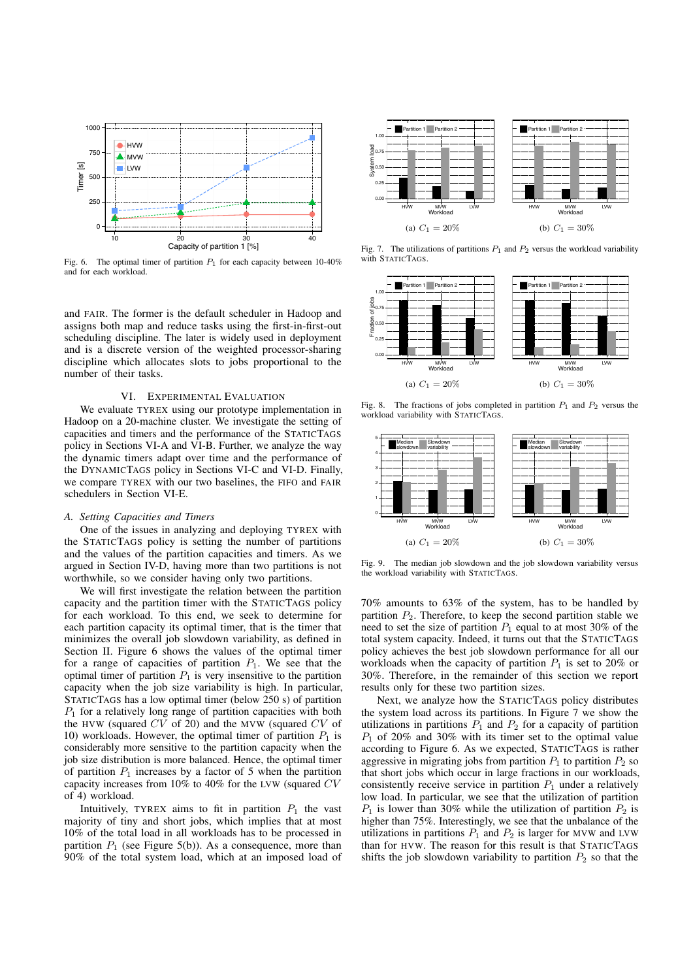

Fig. 6. The optimal timer of partition  $P_1$  for each capacity between 10-40% and for each workload.

and FAIR. The former is the default scheduler in Hadoop and assigns both map and reduce tasks using the first-in-first-out scheduling discipline. The later is widely used in deployment and is a discrete version of the weighted processor-sharing discipline which allocates slots to jobs proportional to the number of their tasks.

#### VI. EXPERIMENTAL EVALUATION

We evaluate TYREX using our prototype implementation in Hadoop on a 20-machine cluster. We investigate the setting of capacities and timers and the performance of the STATICTAGS policy in Sections VI-A and VI-B. Further, we analyze the way the dynamic timers adapt over time and the performance of the DYNAMICTAGS policy in Sections VI-C and VI-D. Finally, we compare TYREX with our two baselines, the FIFO and FAIR schedulers in Section VI-E.

# *A. Setting Capacities and Timers*

One of the issues in analyzing and deploying TYREX with the STATICTAGS policy is setting the number of partitions and the values of the partition capacities and timers. As we argued in Section IV-D, having more than two partitions is not worthwhile, so we consider having only two partitions.

We will first investigate the relation between the partition capacity and the partition timer with the STATICTAGS policy for each workload. To this end, we seek to determine for each partition capacity its optimal timer, that is the timer that minimizes the overall job slowdown variability, as defined in Section II. Figure 6 shows the values of the optimal timer for a range of capacities of partition  $P_1$ . We see that the optimal timer of partition  $P_1$  is very insensitive to the partition capacity when the job size variability is high. In particular, STATICTAGS has a low optimal timer (below 250 s) of partition *P*<sup>1</sup> for a relatively long range of partition capacities with both the HVW (squared *CV* of 20) and the MVW (squared *CV* of 10) workloads. However, the optimal timer of partition  $P_1$  is considerably more sensitive to the partition capacity when the job size distribution is more balanced. Hence, the optimal timer of partition  $P_1$  increases by a factor of 5 when the partition capacity increases from 10% to 40% for the LVW (squared *CV* of 4) workload.

Intuitively, TYREX aims to fit in partition  $P_1$  the vast majority of tiny and short jobs, which implies that at most 10% of the total load in all workloads has to be processed in partition  $P_1$  (see Figure 5(b)). As a consequence, more than 90% of the total system load, which at an imposed load of



Fig. 7. The utilizations of partitions  $P_1$  and  $P_2$  versus the workload variability with STATICTAGS.



Fig. 8. The fractions of jobs completed in partition  $P_1$  and  $P_2$  versus the workload variability with STATICTAGS.



Fig. 9. The median job slowdown and the job slowdown variability versus the workload variability with STATICTAGS.

70% amounts to 63% of the system, has to be handled by partition  $P_2$ . Therefore, to keep the second partition stable we need to set the size of partition  $P_1$  equal to at most 30% of the total system capacity. Indeed, it turns out that the STATICTAGS policy achieves the best job slowdown performance for all our workloads when the capacity of partition *P*<sup>1</sup> is set to 20% or 30%. Therefore, in the remainder of this section we report results only for these two partition sizes.

Next, we analyze how the STATICTAGS policy distributes the system load across its partitions. In Figure 7 we show the utilizations in partitions  $P_1$  and  $P_2$  for a capacity of partition *P*<sup>1</sup> of 20% and 30% with its timer set to the optimal value according to Figure 6. As we expected, STATICTAGS is rather aggressive in migrating jobs from partition  $P_1$  to partition  $P_2$  so that short jobs which occur in large fractions in our workloads, consistently receive service in partition  $P_1$  under a relatively low load. In particular, we see that the utilization of partition  $P_1$  is lower than 30% while the utilization of partition  $P_2$  is higher than 75%. Interestingly, we see that the unbalance of the utilizations in partitions  $P_1$  and  $P_2$  is larger for MVW and LVW than for HVW. The reason for this result is that STATICTAGS shifts the job slowdown variability to partition  $P_2$  so that the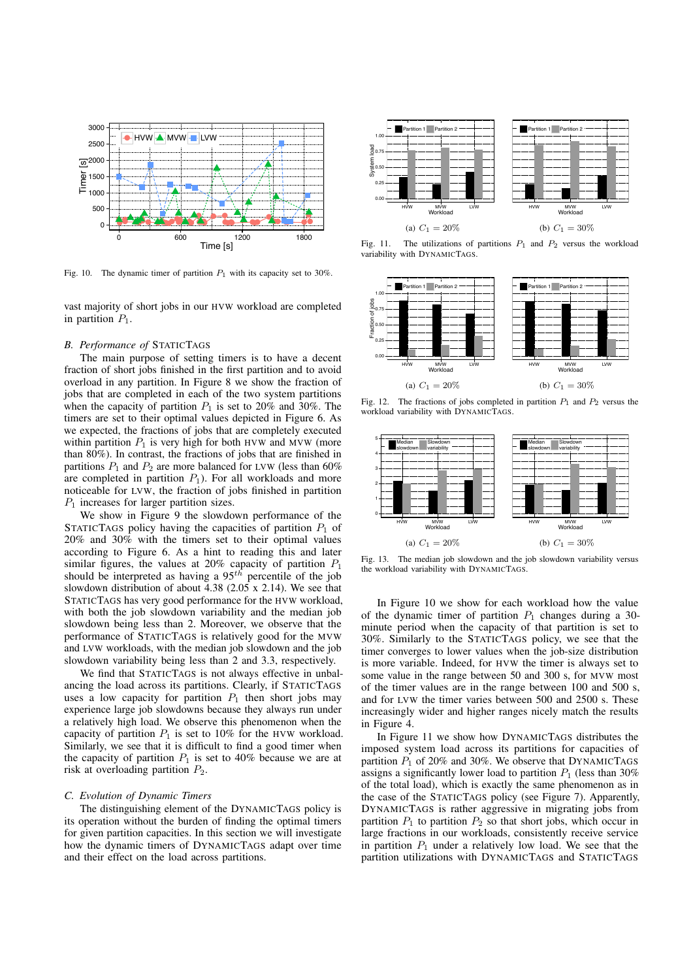

Fig. 10. The dynamic timer of partition  $P_1$  with its capacity set to 30%.

vast majority of short jobs in our HVW workload are completed in partition  $P_1$ .

# *B. Performance of* STATICTAGS

The main purpose of setting timers is to have a decent fraction of short jobs finished in the first partition and to avoid overload in any partition. In Figure 8 we show the fraction of jobs that are completed in each of the two system partitions when the capacity of partition  $P_1$  is set to 20% and 30%. The timers are set to their optimal values depicted in Figure 6. As we expected, the fractions of jobs that are completely executed within partition  $P_1$  is very high for both HVW and MVW (more than 80%). In contrast, the fractions of jobs that are finished in partitions  $P_1$  and  $P_2$  are more balanced for LVW (less than 60%) are completed in partition  $P_1$ ). For all workloads and more noticeable for LVW, the fraction of jobs finished in partition *P*<sup>1</sup> increases for larger partition sizes.

We show in Figure 9 the slowdown performance of the STATICTAGS policy having the capacities of partition  $P_1$  of 20% and 30% with the timers set to their optimal values according to Figure 6. As a hint to reading this and later similar figures, the values at 20% capacity of partition *P*<sup>1</sup> should be interpreted as having a  $95<sup>th</sup>$  percentile of the job slowdown distribution of about 4.38 (2.05 x 2.14). We see that STATICTAGS has very good performance for the HVW workload, with both the job slowdown variability and the median job slowdown being less than 2. Moreover, we observe that the performance of STATICTAGS is relatively good for the MVW and LVW workloads, with the median job slowdown and the job slowdown variability being less than 2 and 3.3, respectively.

We find that STATICTAGS is not always effective in unbalancing the load across its partitions. Clearly, if STATICTAGS uses a low capacity for partition  $P_1$  then short jobs may experience large job slowdowns because they always run under a relatively high load. We observe this phenomenon when the capacity of partition  $P_1$  is set to 10% for the HVW workload. Similarly, we see that it is difficult to find a good timer when the capacity of partition  $P_1$  is set to 40% because we are at risk at overloading partition *P*2.

# *C. Evolution of Dynamic Timers*

The distinguishing element of the DYNAMICTAGS policy is its operation without the burden of finding the optimal timers for given partition capacities. In this section we will investigate how the dynamic timers of DYNAMICTAGS adapt over time and their effect on the load across partitions.



Fig. 11. The utilizations of partitions  $P_1$  and  $P_2$  versus the workload variability with DYNAMICTAGS.



Fig. 12. The fractions of jobs completed in partition  $P_1$  and  $P_2$  versus the workload variability with DYNAMICTAGS.



Fig. 13. The median job slowdown and the job slowdown variability versus the workload variability with DYNAMICTAGS.

In Figure 10 we show for each workload how the value of the dynamic timer of partition  $P_1$  changes during a 30minute period when the capacity of that partition is set to 30%. Similarly to the STATICTAGS policy, we see that the timer converges to lower values when the job-size distribution is more variable. Indeed, for HVW the timer is always set to some value in the range between 50 and 300 s, for MVW most of the timer values are in the range between 100 and 500 s, and for LVW the timer varies between 500 and 2500 s. These increasingly wider and higher ranges nicely match the results in Figure 4.

In Figure 11 we show how DYNAMICTAGS distributes the imposed system load across its partitions for capacities of partition  $P_1$  of 20% and 30%. We observe that DYNAMICTAGS assigns a significantly lower load to partition  $P_1$  (less than 30%) of the total load), which is exactly the same phenomenon as in the case of the STATICTAGS policy (see Figure 7). Apparently, DYNAMICTAGS is rather aggressive in migrating jobs from partition  $P_1$  to partition  $P_2$  so that short jobs, which occur in large fractions in our workloads, consistently receive service in partition  $P_1$  under a relatively low load. We see that the partition utilizations with DYNAMICTAGS and STATICTAGS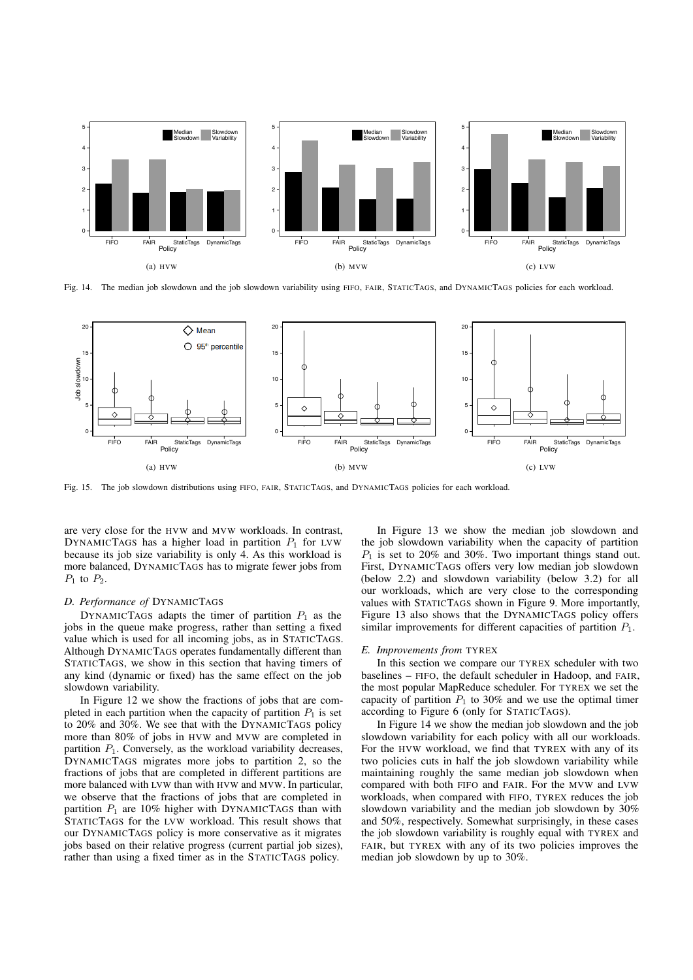

Fig. 14. The median job slowdown and the job slowdown variability using FIFO, FAIR, STATICTAGS, and DYNAMICTAGS policies for each workload.



Fig. 15. The job slowdown distributions using FIFO, FAIR, STATICTAGS, and DYNAMICTAGS policies for each workload.

are very close for the HVW and MVW workloads. In contrast, DYNAMICTAGS has a higher load in partition  $P_1$  for LVW because its job size variability is only 4. As this workload is more balanced, DYNAMICTAGS has to migrate fewer jobs from *P*<sup>1</sup> to *P*2.

# *D. Performance of* DYNAMICTAGS

DYNAMICTAGS adapts the timer of partition  $P_1$  as the jobs in the queue make progress, rather than setting a fixed value which is used for all incoming jobs, as in STATICTAGS. Although DYNAMICTAGS operates fundamentally different than STATICTAGS, we show in this section that having timers of any kind (dynamic or fixed) has the same effect on the job slowdown variability.

In Figure 12 we show the fractions of jobs that are completed in each partition when the capacity of partition  $P_1$  is set to 20% and 30%. We see that with the DYNAMICTAGS policy more than 80% of jobs in HVW and MVW are completed in partition  $P_1$ . Conversely, as the workload variability decreases, DYNAMICTAGS migrates more jobs to partition 2, so the fractions of jobs that are completed in different partitions are more balanced with LVW than with HVW and MVW. In particular, we observe that the fractions of jobs that are completed in partition  $P_1$  are 10% higher with DYNAMICTAGS than with STATICTAGS for the LVW workload. This result shows that our DYNAMICTAGS policy is more conservative as it migrates jobs based on their relative progress (current partial job sizes), rather than using a fixed timer as in the STATICTAGS policy.

In Figure 13 we show the median job slowdown and the job slowdown variability when the capacity of partition *P*<sup>1</sup> is set to 20% and 30%. Two important things stand out. First, DYNAMICTAGS offers very low median job slowdown (below 2.2) and slowdown variability (below 3.2) for all our workloads, which are very close to the corresponding values with STATICTAGS shown in Figure 9. More importantly, Figure 13 also shows that the DYNAMICTAGS policy offers similar improvements for different capacities of partition *P*1.

#### *E. Improvements from* TYREX

In this section we compare our TYREX scheduler with two baselines – FIFO, the default scheduler in Hadoop, and FAIR, the most popular MapReduce scheduler. For TYREX we set the capacity of partition  $P_1$  to 30% and we use the optimal timer according to Figure 6 (only for STATICTAGS).

In Figure 14 we show the median job slowdown and the job slowdown variability for each policy with all our workloads. For the HVW workload, we find that TYREX with any of its two policies cuts in half the job slowdown variability while maintaining roughly the same median job slowdown when compared with both FIFO and FAIR. For the MVW and LVW workloads, when compared with FIFO, TYREX reduces the job slowdown variability and the median job slowdown by 30% and 50%, respectively. Somewhat surprisingly, in these cases the job slowdown variability is roughly equal with TYREX and FAIR, but TYREX with any of its two policies improves the median job slowdown by up to 30%.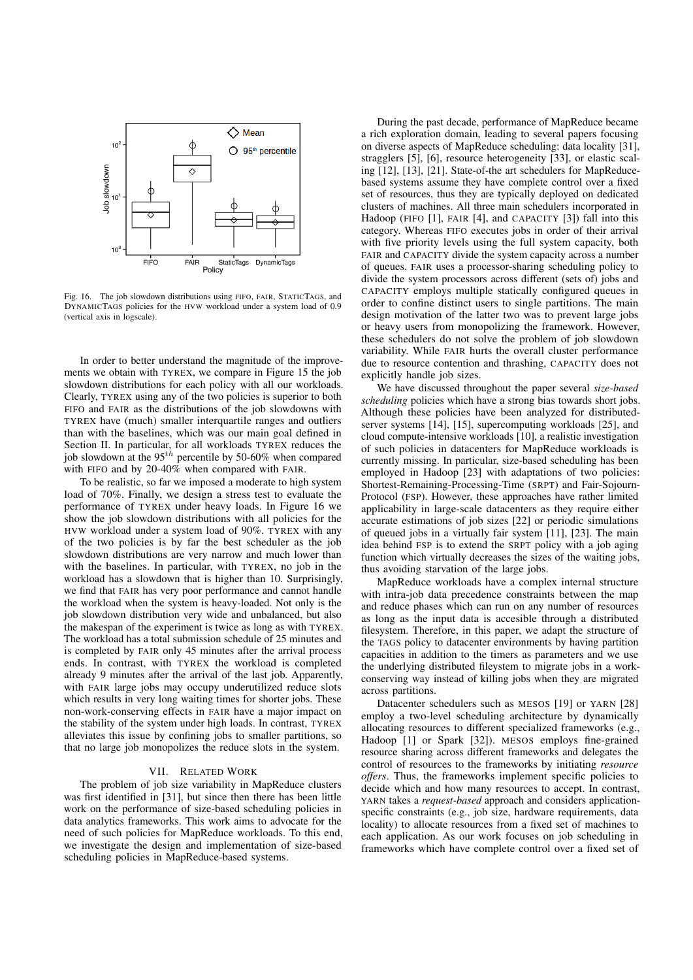

Fig. 16. The job slowdown distributions using FIFO, FAIR, STATICTAGS, and DYNAMICTAGS policies for the HVW workload under a system load of 0.9 (vertical axis in logscale).

In order to better understand the magnitude of the improvements we obtain with TYREX, we compare in Figure 15 the job slowdown distributions for each policy with all our workloads. Clearly, TYREX using any of the two policies is superior to both FIFO and FAIR as the distributions of the job slowdowns with TYREX have (much) smaller interquartile ranges and outliers than with the baselines, which was our main goal defined in Section II. In particular, for all workloads TYREX reduces the job slowdown at the 95*th* percentile by 50-60% when compared with FIFO and by 20-40% when compared with FAIR.

To be realistic, so far we imposed a moderate to high system load of 70%. Finally, we design a stress test to evaluate the performance of TYREX under heavy loads. In Figure 16 we show the job slowdown distributions with all policies for the HVW workload under a system load of 90%. TYREX with any of the two policies is by far the best scheduler as the job slowdown distributions are very narrow and much lower than with the baselines. In particular, with TYREX, no job in the workload has a slowdown that is higher than 10. Surprisingly, we find that FAIR has very poor performance and cannot handle the workload when the system is heavy-loaded. Not only is the job slowdown distribution very wide and unbalanced, but also the makespan of the experiment is twice as long as with TYREX. The workload has a total submission schedule of 25 minutes and is completed by FAIR only 45 minutes after the arrival process ends. In contrast, with TYREX the workload is completed already 9 minutes after the arrival of the last job. Apparently, with FAIR large jobs may occupy underutilized reduce slots which results in very long waiting times for shorter jobs. These non-work-conserving effects in FAIR have a major impact on the stability of the system under high loads. In contrast, TYREX alleviates this issue by confining jobs to smaller partitions, so that no large job monopolizes the reduce slots in the system.

#### VII. RELATED WORK

The problem of job size variability in MapReduce clusters was first identified in [31], but since then there has been little work on the performance of size-based scheduling policies in data analytics frameworks. This work aims to advocate for the need of such policies for MapReduce workloads. To this end, we investigate the design and implementation of size-based scheduling policies in MapReduce-based systems.

During the past decade, performance of MapReduce became a rich exploration domain, leading to several papers focusing on diverse aspects of MapReduce scheduling: data locality [31], stragglers [5], [6], resource heterogeneity [33], or elastic scaling [12], [13], [21]. State-of-the art schedulers for MapReducebased systems assume they have complete control over a fixed set of resources, thus they are typically deployed on dedicated clusters of machines. All three main schedulers incorporated in Hadoop (FIFO [1], FAIR [4], and CAPACITY [3]) fall into this category. Whereas FIFO executes jobs in order of their arrival with five priority levels using the full system capacity, both FAIR and CAPACITY divide the system capacity across a number of queues. FAIR uses a processor-sharing scheduling policy to divide the system processors across different (sets of) jobs and CAPACITY employs multiple statically configured queues in order to confine distinct users to single partitions. The main design motivation of the latter two was to prevent large jobs or heavy users from monopolizing the framework. However, these schedulers do not solve the problem of job slowdown variability. While FAIR hurts the overall cluster performance due to resource contention and thrashing, CAPACITY does not explicitly handle job sizes.

We have discussed throughout the paper several *size-based scheduling* policies which have a strong bias towards short jobs. Although these policies have been analyzed for distributedserver systems [14], [15], supercomputing workloads [25], and cloud compute-intensive workloads [10], a realistic investigation of such policies in datacenters for MapReduce workloads is currently missing. In particular, size-based scheduling has been employed in Hadoop [23] with adaptations of two policies: Shortest-Remaining-Processing-Time (SRPT) and Fair-Sojourn-Protocol (FSP). However, these approaches have rather limited applicability in large-scale datacenters as they require either accurate estimations of job sizes [22] or periodic simulations of queued jobs in a virtually fair system [11], [23]. The main idea behind FSP is to extend the SRPT policy with a job aging function which virtually decreases the sizes of the waiting jobs, thus avoiding starvation of the large jobs.

MapReduce workloads have a complex internal structure with intra-job data precedence constraints between the map and reduce phases which can run on any number of resources as long as the input data is accesible through a distributed filesystem. Therefore, in this paper, we adapt the structure of the TAGS policy to datacenter environments by having partition capacities in addition to the timers as parameters and we use the underlying distributed fileystem to migrate jobs in a workconserving way instead of killing jobs when they are migrated across partitions.

Datacenter schedulers such as MESOS [19] or YARN [28] employ a two-level scheduling architecture by dynamically allocating resources to different specialized frameworks (e.g., Hadoop [1] or Spark [32]). MESOS employs fine-grained resource sharing across different frameworks and delegates the control of resources to the frameworks by initiating *resource offers*. Thus, the frameworks implement specific policies to decide which and how many resources to accept. In contrast, YARN takes a *request-based* approach and considers applicationspecific constraints (e.g., job size, hardware requirements, data locality) to allocate resources from a fixed set of machines to each application. As our work focuses on job scheduling in frameworks which have complete control over a fixed set of